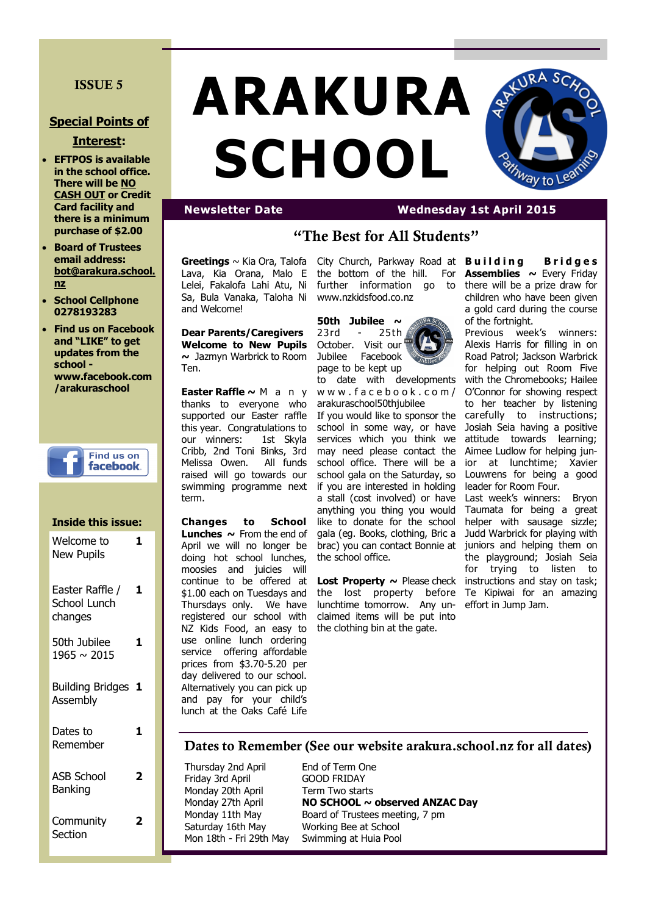## **ISSUE 5**

#### **Special Points of**

#### **Interest:**

- **EFTPOS is available in the school office. There will be NO CASH OUT or Credit Card facility and there is a minimum purchase of \$2.00**
- **Board of Trustees email address: bot@arakura.school. nz**
- **School Cellphone 0278193283**
- **Find us on Facebook and "LIKE" to get updates from the school www.facebook.com /arakuraschool**



#### **Inside this issue:** Welcome to New Pupils **1**

Easter Raffle / School Lunch changes **1** 50th Jubilee **1**

1965 ~ 2015

Building Bridges **1** Assembly

Dates to Remember **1** ASB School Banking **2 Community 2**

**Section** 

# **ARAKURA SCHOOL**



# **Newsletter Date Wednesday 1st April 2015**

# **"The Best for All Students"**

**Greetings** ~ Kia Ora, Talofa Lava, Kia Orana, Malo E Lelei, Fakalofa Lahi Atu, Ni Sa, Bula Vanaka, Taloha Ni and Welcome!

**Dear Parents/Caregivers Welcome to New Pupils ~** Jazmyn Warbrick to Room Ten.

**Easter Raffle ~** M a n y thanks to everyone who supported our Easter raffle this year. Congratulations to our winners: 1st Skyla Cribb, 2nd Toni Binks, 3rd Melissa Owen. All funds raised will go towards our swimming programme next term.

**Changes to School Lunches**  $\sim$  **From the end of** April we will no longer be doing hot school lunches, moosies and juicies will continue to be offered at \$1.00 each on Tuesdays and Thursdays only. We have registered our school with NZ Kids Food, an easy to use online lunch ordering service offering affordable prices from \$3.70-5.20 per day delivered to our school. Alternatively you can pick up and pay for your child's lunch at the Oaks Café Life

City Church, Parkway Road at **Building Bridges** the bottom of the hill. For **Assemblies ~** Every Friday further information go to www.nzkidsfood.co.nz

**50th Jubilee ~**  23rd - 25th October. Visit our Jubilee Facebook page to be kept up



to date with developments w w w . f a c e b o o k . c o m / arakuraschool50thjubilee

If you would like to sponsor the school in some way, or have services which you think we may need please contact the school office. There will be a school gala on the Saturday, so if you are interested in holding a stall (cost involved) or have anything you thing you would like to donate for the school gala (eg. Books, clothing, Bric a brac) you can contact Bonnie at the school office.

**Lost Property ~** Please check the lost property before lunchtime tomorrow. Any unclaimed items will be put into the clothing bin at the gate.

there will be a prize draw for children who have been given a gold card during the course of the fortnight.

Previous week's winners: Alexis Harris for filling in on Road Patrol; Jackson Warbrick for helping out Room Five with the Chromebooks; Hailee O'Connor for showing respect to her teacher by listening carefully to instructions; Josiah Seia having a positive attitude towards learning; Aimee Ludlow for helping junior at lunchtime; Xavier Louwrens for being a good leader for Room Four.

Last week's winners: Bryon Taumata for being a great helper with sausage sizzle: Judd Warbrick for playing with juniors and helping them on the playground; Josiah Seia for trying to listen to instructions and stay on task; Te Kipiwai for an amazing effort in Jump Jam.

## **Dates to Remember (See our website arakura.school.nz for all dates)**

Thursday 2nd April End of Term One Friday 3rd April GOOD FRIDAY Monday 20th April Term Two starts Saturday 16th May Working Bee at School

Monday 27th April **NO SCHOOL ~ observed ANZAC Day** Monday 11th May Board of Trustees meeting, 7 pm Swimming at Huia Pool